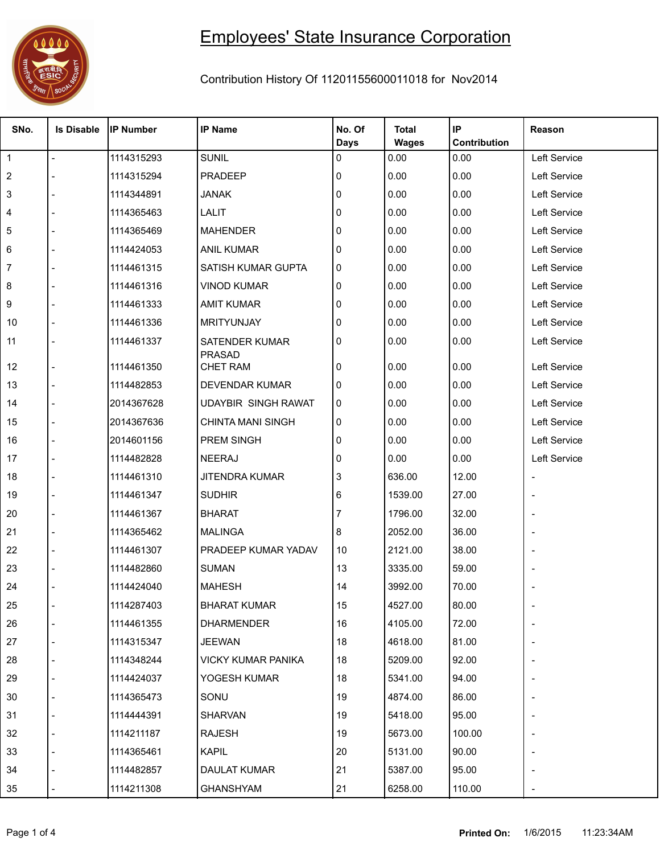

## Employees' State Insurance Corporation

## Contribution History Of 11201155600011018 for Nov2014

| SNo.           | <b>Is Disable</b> | <b>IP Number</b> | <b>IP Name</b>                         | No. Of      | <b>Total</b> | IP           | Reason                   |
|----------------|-------------------|------------------|----------------------------------------|-------------|--------------|--------------|--------------------------|
|                |                   |                  |                                        | <b>Days</b> | <b>Wages</b> | Contribution |                          |
| $\overline{1}$ | $\blacksquare$    | 1114315293       | <b>SUNIL</b>                           | 0           | 0.00         | 0.00         | Left Service             |
| $\overline{2}$ |                   | 1114315294       | PRADEEP                                | 0           | 0.00         | 0.00         | Left Service             |
| 3              |                   | 1114344891       | <b>JANAK</b>                           | 0           | 0.00         | 0.00         | Left Service             |
| 4              |                   | 1114365463       | LALIT                                  | 0           | 0.00         | 0.00         | Left Service             |
| 5              |                   | 1114365469       | <b>MAHENDER</b>                        | 0           | 0.00         | 0.00         | Left Service             |
| 6              |                   | 1114424053       | <b>ANIL KUMAR</b>                      | 0           | 0.00         | 0.00         | Left Service             |
| 7              |                   | 1114461315       | SATISH KUMAR GUPTA                     | 0           | 0.00         | 0.00         | Left Service             |
| 8              |                   | 1114461316       | <b>VINOD KUMAR</b>                     | 0           | 0.00         | 0.00         | Left Service             |
| 9              |                   | 1114461333       | <b>AMIT KUMAR</b>                      | 0           | 0.00         | 0.00         | Left Service             |
| 10             |                   | 1114461336       | <b>MRITYUNJAY</b>                      | 0           | 0.00         | 0.00         | Left Service             |
| 11             |                   | 1114461337       | <b>SATENDER KUMAR</b><br><b>PRASAD</b> | 0           | 0.00         | 0.00         | Left Service             |
| 12             |                   | 1114461350       | <b>CHET RAM</b>                        | 0           | 0.00         | 0.00         | Left Service             |
| 13             |                   | 1114482853       | <b>DEVENDAR KUMAR</b>                  | 0           | 0.00         | 0.00         | Left Service             |
| 14             |                   | 2014367628       | <b>UDAYBIR SINGH RAWAT</b>             | 0           | 0.00         | 0.00         | Left Service             |
| 15             |                   | 2014367636       | <b>CHINTA MANI SINGH</b>               | 0           | 0.00         | 0.00         | Left Service             |
| 16             |                   | 2014601156       | PREM SINGH                             | 0           | 0.00         | 0.00         | Left Service             |
| 17             |                   | 1114482828       | NEERAJ                                 | 0           | 0.00         | 0.00         | Left Service             |
| 18             |                   | 1114461310       | JITENDRA KUMAR                         | 3           | 636.00       | 12.00        | $\overline{\phantom{0}}$ |
| 19             |                   | 1114461347       | <b>SUDHIR</b>                          | 6           | 1539.00      | 27.00        |                          |
| 20             |                   | 1114461367       | <b>BHARAT</b>                          |             | 1796.00      | 32.00        |                          |
| 21             |                   | 1114365462       | <b>MALINGA</b>                         | 8           | 2052.00      | 36.00        |                          |
| 22             |                   | 1114461307       | PRADEEP KUMAR YADAV                    | 10          | 2121.00      | 38.00        |                          |
| 23             |                   | 1114482860       | <b>SUMAN</b>                           | 13          | 3335.00      | 59.00        |                          |
| 24             |                   | 1114424040       | <b>MAHESH</b>                          | 14          | 3992.00      | 70.00        |                          |
| 25             |                   | 1114287403       | <b>BHARAT KUMAR</b>                    | 15          | 4527.00      | 80.00        |                          |
| 26             |                   | 1114461355       | <b>DHARMENDER</b>                      | 16          | 4105.00      | 72.00        |                          |
| 27             |                   | 1114315347       | JEEWAN                                 | 18          | 4618.00      | 81.00        |                          |
| 28             |                   | 1114348244       | <b>VICKY KUMAR PANIKA</b>              | 18          | 5209.00      | 92.00        |                          |
| 29             |                   | 1114424037       | YOGESH KUMAR                           | 18          | 5341.00      | 94.00        |                          |
| 30             |                   | 1114365473       | SONU                                   | 19          | 4874.00      | 86.00        |                          |
| 31             |                   | 1114444391       | <b>SHARVAN</b>                         | 19          | 5418.00      | 95.00        |                          |
| 32             |                   | 1114211187       | <b>RAJESH</b>                          | 19          | 5673.00      | 100.00       |                          |
| 33             |                   | 1114365461       | <b>KAPIL</b>                           | 20          | 5131.00      | 90.00        |                          |
| 34             |                   | 1114482857       | DAULAT KUMAR                           | 21          | 5387.00      | 95.00        |                          |
| 35             |                   | 1114211308       | <b>GHANSHYAM</b>                       | 21          | 6258.00      | 110.00       |                          |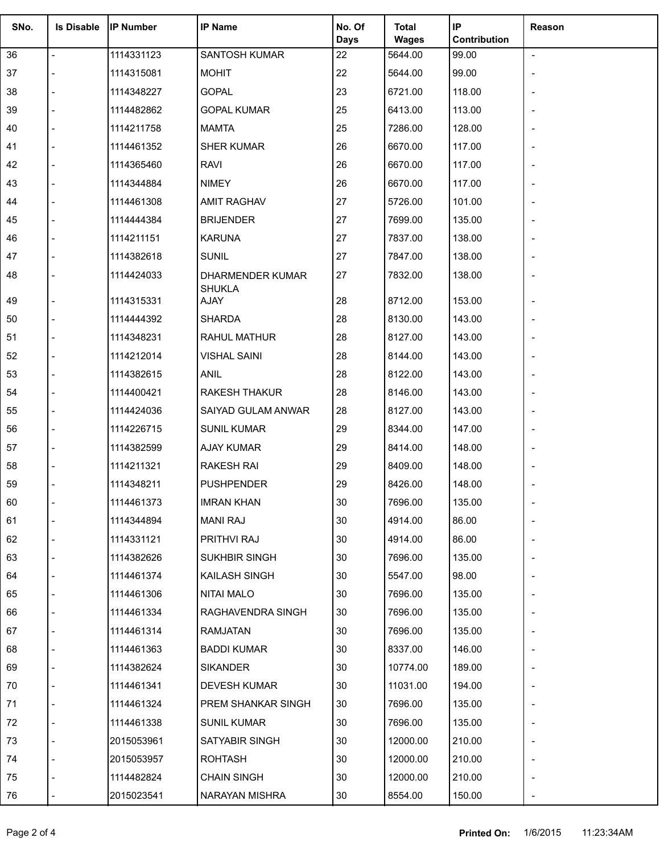| SNo. | <b>Is Disable</b> | <b>IP Number</b> | <b>IP Name</b>                    | No. Of<br><b>Days</b> | <b>Total</b><br><b>Wages</b> | IP<br>Contribution | Reason                   |
|------|-------------------|------------------|-----------------------------------|-----------------------|------------------------------|--------------------|--------------------------|
| 36   | $\overline{a}$    | 1114331123       | SANTOSH KUMAR                     | 22                    | 5644.00                      | 99.00              | $\blacksquare$           |
| 37   |                   | 1114315081       | <b>MOHIT</b>                      | 22                    | 5644.00                      | 99.00              | $\overline{a}$           |
| 38   |                   | 1114348227       | <b>GOPAL</b>                      | 23                    | 6721.00                      | 118.00             |                          |
| 39   |                   | 1114482862       | <b>GOPAL KUMAR</b>                | 25                    | 6413.00                      | 113.00             |                          |
| 40   |                   | 1114211758       | <b>MAMTA</b>                      | 25                    | 7286.00                      | 128.00             |                          |
| 41   |                   | 1114461352       | <b>SHER KUMAR</b>                 | 26                    | 6670.00                      | 117.00             |                          |
| 42   |                   | 1114365460       | <b>RAVI</b>                       | 26                    | 6670.00                      | 117.00             |                          |
| 43   |                   | 1114344884       | <b>NIMEY</b>                      | 26                    | 6670.00                      | 117.00             | $\overline{\phantom{0}}$ |
| 44   |                   | 1114461308       | <b>AMIT RAGHAV</b>                | 27                    | 5726.00                      | 101.00             |                          |
| 45   |                   | 1114444384       | <b>BRIJENDER</b>                  | 27                    | 7699.00                      | 135.00             |                          |
| 46   |                   | 1114211151       | <b>KARUNA</b>                     | 27                    | 7837.00                      | 138.00             |                          |
| 47   |                   | 1114382618       | <b>SUNIL</b>                      | 27                    | 7847.00                      | 138.00             |                          |
| 48   |                   | 1114424033       | DHARMENDER KUMAR<br><b>SHUKLA</b> | 27                    | 7832.00                      | 138.00             |                          |
| 49   |                   | 1114315331       | AJAY                              | 28                    | 8712.00                      | 153.00             | $\overline{a}$           |
| 50   |                   | 1114444392       | <b>SHARDA</b>                     | 28                    | 8130.00                      | 143.00             | $\overline{a}$           |
| 51   |                   | 1114348231       | <b>RAHUL MATHUR</b>               | 28                    | 8127.00                      | 143.00             |                          |
| 52   |                   | 1114212014       | <b>VISHAL SAINI</b>               | 28                    | 8144.00                      | 143.00             |                          |
| 53   |                   | 1114382615       | ANIL                              | 28                    | 8122.00                      | 143.00             |                          |
| 54   |                   | 1114400421       | <b>RAKESH THAKUR</b>              | 28                    | 8146.00                      | 143.00             |                          |
| 55   |                   | 1114424036       | SAIYAD GULAM ANWAR                | 28                    | 8127.00                      | 143.00             |                          |
| 56   |                   | 1114226715       | <b>SUNIL KUMAR</b>                | 29                    | 8344.00                      | 147.00             | $\overline{\phantom{a}}$ |
| 57   |                   | 1114382599       | <b>AJAY KUMAR</b>                 | 29                    | 8414.00                      | 148.00             |                          |
| 58   |                   | 1114211321       | <b>RAKESH RAI</b>                 | 29                    | 8409.00                      | 148.00             |                          |
| 59   |                   | 1114348211       | <b>PUSHPENDER</b>                 | 29                    | 8426.00                      | 148.00             |                          |
| 60   |                   | 1114461373       | <b>IMRAN KHAN</b>                 | 30                    | 7696.00                      | 135.00             |                          |
| 61   |                   | 1114344894       | <b>MANI RAJ</b>                   | 30                    | 4914.00                      | 86.00              |                          |
| 62   |                   | 1114331121       | PRITHVI RAJ                       | 30                    | 4914.00                      | 86.00              |                          |
| 63   |                   | 1114382626       | SUKHBIR SINGH                     | 30                    | 7696.00                      | 135.00             |                          |
| 64   |                   | 1114461374       | KAILASH SINGH                     | 30                    | 5547.00                      | 98.00              |                          |
| 65   |                   | 1114461306       | <b>NITAI MALO</b>                 | 30                    | 7696.00                      | 135.00             |                          |
| 66   |                   | 1114461334       | RAGHAVENDRA SINGH                 | 30                    | 7696.00                      | 135.00             |                          |
| 67   |                   | 1114461314       | <b>RAMJATAN</b>                   | 30                    | 7696.00                      | 135.00             |                          |
| 68   |                   | 1114461363       | <b>BADDI KUMAR</b>                | 30                    | 8337.00                      | 146.00             |                          |
| 69   |                   | 1114382624       | <b>SIKANDER</b>                   | 30                    | 10774.00                     | 189.00             |                          |
| 70   |                   | 1114461341       | <b>DEVESH KUMAR</b>               | 30                    | 11031.00                     | 194.00             |                          |
| 71   |                   | 1114461324       | PREM SHANKAR SINGH                | 30                    | 7696.00                      | 135.00             |                          |
| 72   |                   | 1114461338       | <b>SUNIL KUMAR</b>                | 30                    | 7696.00                      | 135.00             |                          |
| 73   |                   | 2015053961       | SATYABIR SINGH                    | 30                    | 12000.00                     | 210.00             |                          |
| 74   |                   | 2015053957       | <b>ROHTASH</b>                    | 30                    | 12000.00                     | 210.00             |                          |
| 75   |                   | 1114482824       | <b>CHAIN SINGH</b>                | 30                    | 12000.00                     | 210.00             |                          |
| 76   |                   | 2015023541       | NARAYAN MISHRA                    | 30                    | 8554.00                      | 150.00             |                          |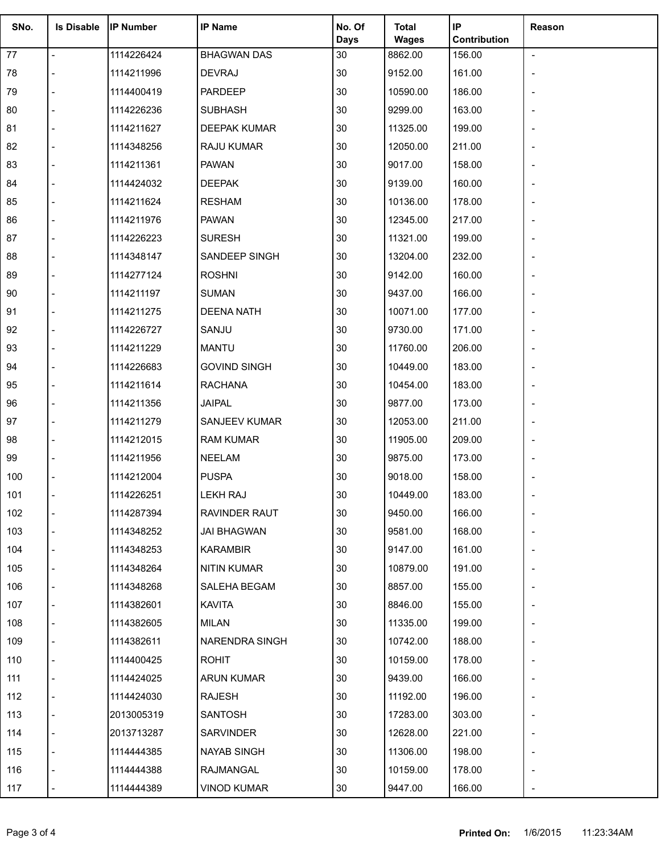| SNo. | <b>Is Disable</b>        | <b>IP Number</b> | <b>IP Name</b>      | No. Of         | Total                   | IP                     | Reason         |
|------|--------------------------|------------------|---------------------|----------------|-------------------------|------------------------|----------------|
| 77   | $\overline{\phantom{a}}$ | 1114226424       | <b>BHAGWAN DAS</b>  | Days<br>$30\,$ | <b>Wages</b><br>8862.00 | Contribution<br>156.00 | $\blacksquare$ |
| 78   |                          | 1114211996       | <b>DEVRAJ</b>       | 30             | 9152.00                 | 161.00                 |                |
| 79   |                          | 1114400419       | PARDEEP             | $30\,$         | 10590.00                | 186.00                 |                |
| 80   |                          | 1114226236       | <b>SUBHASH</b>      | $30\,$         | 9299.00                 | 163.00                 |                |
| 81   |                          | 1114211627       | DEEPAK KUMAR        | $30\,$         | 11325.00                | 199.00                 |                |
| 82   |                          | 1114348256       | RAJU KUMAR          | 30             | 12050.00                | 211.00                 |                |
| 83   |                          | 1114211361       | <b>PAWAN</b>        | $30\,$         | 9017.00                 | 158.00                 |                |
| 84   |                          | 1114424032       | <b>DEEPAK</b>       | 30             | 9139.00                 | 160.00                 |                |
| 85   |                          | 1114211624       | <b>RESHAM</b>       | 30             | 10136.00                | 178.00                 |                |
| 86   |                          | 1114211976       | <b>PAWAN</b>        | $30\,$         | 12345.00                | 217.00                 |                |
| 87   |                          | 1114226223       | <b>SURESH</b>       | $30\,$         | 11321.00                | 199.00                 |                |
| 88   |                          | 1114348147       | SANDEEP SINGH       | $30\,$         | 13204.00                | 232.00                 |                |
| 89   |                          | 1114277124       | <b>ROSHNI</b>       | $30\,$         | 9142.00                 | 160.00                 |                |
| 90   |                          | 1114211197       | <b>SUMAN</b>        | 30             | 9437.00                 | 166.00                 |                |
| 91   |                          |                  | <b>DEENA NATH</b>   | $30\,$         |                         | 177.00                 |                |
|      |                          | 1114211275       |                     |                | 10071.00                |                        |                |
| 92   |                          | 1114226727       | SANJU               | $30\,$         | 9730.00                 | 171.00                 |                |
| 93   |                          | 1114211229       | <b>MANTU</b>        | $30\,$         | 11760.00                | 206.00                 |                |
| 94   |                          | 1114226683       | <b>GOVIND SINGH</b> | 30             | 10449.00                | 183.00                 |                |
| 95   |                          | 1114211614       | <b>RACHANA</b>      | $30\,$         | 10454.00                | 183.00                 |                |
| 96   |                          | 1114211356       | <b>JAIPAL</b>       | 30             | 9877.00                 | 173.00                 |                |
| 97   |                          | 1114211279       | SANJEEV KUMAR       | $30\,$         | 12053.00                | 211.00                 |                |
| 98   |                          | 1114212015       | <b>RAM KUMAR</b>    | $30\,$         | 11905.00                | 209.00                 |                |
| 99   |                          | 1114211956       | <b>NEELAM</b>       | $30\,$         | 9875.00                 | 173.00                 |                |
| 100  |                          | 1114212004       | <b>PUSPA</b>        | 30             | 9018.00                 | 158.00                 |                |
| 101  |                          | 1114226251       | LEKH RAJ            | 30             | 10449.00                | 183.00                 |                |
| 102  |                          | 1114287394       | RAVINDER RAUT       | 30             | 9450.00                 | 166.00                 |                |
| 103  |                          | 1114348252       | JAI BHAGWAN         | 30             | 9581.00                 | 168.00                 |                |
| 104  |                          | 1114348253       | <b>KARAMBIR</b>     | 30             | 9147.00                 | 161.00                 |                |
| 105  |                          | 1114348264       | NITIN KUMAR         | 30             | 10879.00                | 191.00                 |                |
| 106  |                          | 1114348268       | SALEHA BEGAM        | 30             | 8857.00                 | 155.00                 |                |
| 107  |                          | 1114382601       | <b>KAVITA</b>       | 30             | 8846.00                 | 155.00                 |                |
| 108  |                          | 1114382605       | MILAN               | 30             | 11335.00                | 199.00                 |                |
| 109  |                          | 1114382611       | NARENDRA SINGH      | 30             | 10742.00                | 188.00                 |                |
| 110  |                          | 1114400425       | <b>ROHIT</b>        | 30             | 10159.00                | 178.00                 |                |
| 111  |                          | 1114424025       | <b>ARUN KUMAR</b>   | 30             | 9439.00                 | 166.00                 |                |
| 112  |                          | 1114424030       | RAJESH              | 30             | 11192.00                | 196.00                 |                |
| 113  |                          | 2013005319       | SANTOSH             | 30             | 17283.00                | 303.00                 |                |
| 114  |                          | 2013713287       | SARVINDER           | 30             | 12628.00                | 221.00                 |                |
| 115  |                          | 1114444385       | NAYAB SINGH         | 30             | 11306.00                | 198.00                 |                |
| 116  |                          | 1114444388       | RAJMANGAL           | 30             | 10159.00                | 178.00                 |                |
| 117  |                          | 1114444389       | <b>VINOD KUMAR</b>  | 30             | 9447.00                 | 166.00                 |                |